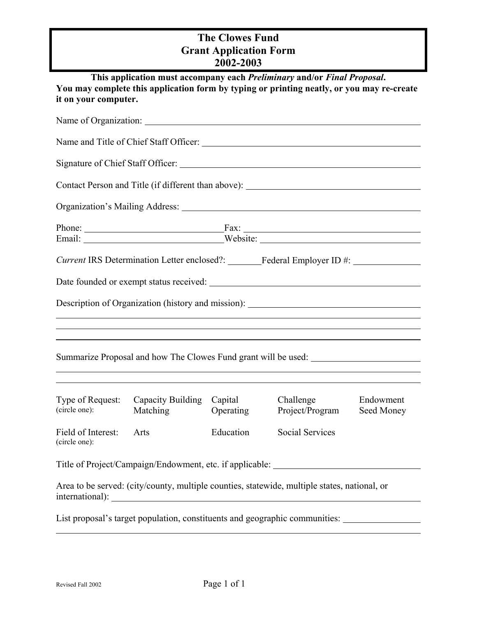## **The Clowes Fund Grant Application Form 2002-2003**

| it on your computer.                |                               |                      | This application must accompany each Preliminary and/or Final Proposal.<br>You may complete this application form by typing or printing neatly, or you may re-create                                                           |                         |
|-------------------------------------|-------------------------------|----------------------|--------------------------------------------------------------------------------------------------------------------------------------------------------------------------------------------------------------------------------|-------------------------|
|                                     |                               |                      |                                                                                                                                                                                                                                |                         |
|                                     |                               |                      |                                                                                                                                                                                                                                |                         |
|                                     |                               |                      |                                                                                                                                                                                                                                |                         |
|                                     |                               |                      |                                                                                                                                                                                                                                |                         |
|                                     |                               |                      | Organization's Mailing Address: National Accounts of the Contract of the Contract of the Contract of the Contract of the Contract of the Contract of the Contract of the Contract of the Contract of the Contract of the Contr |                         |
|                                     |                               |                      | Phone: Fax: Fax:<br>Email: _________________________________Website: _______________________________                                                                                                                           |                         |
|                                     |                               |                      | Current IRS Determination Letter enclosed?: _______Federal Employer ID #: ____________                                                                                                                                         |                         |
|                                     |                               |                      |                                                                                                                                                                                                                                |                         |
|                                     |                               |                      | Description of Organization (history and mission): ______________________________                                                                                                                                              |                         |
|                                     |                               |                      | Summarize Proposal and how The Clowes Fund grant will be used:                                                                                                                                                                 |                         |
| Type of Request:<br>(circle one):   | Capacity Building<br>Matching | Capital<br>Operating | Challenge<br>Project/Program                                                                                                                                                                                                   | Endowment<br>Seed Money |
| Field of Interest:<br>(circle one): | Arts                          | Education            | Social Services                                                                                                                                                                                                                |                         |
|                                     |                               |                      | Title of Project/Campaign/Endowment, etc. if applicable: _______________________                                                                                                                                               |                         |
|                                     |                               |                      | Area to be served: (city/county, multiple counties, statewide, multiple states, national, or                                                                                                                                   |                         |
|                                     |                               |                      | List proposal's target population, constituents and geographic communities:                                                                                                                                                    |                         |